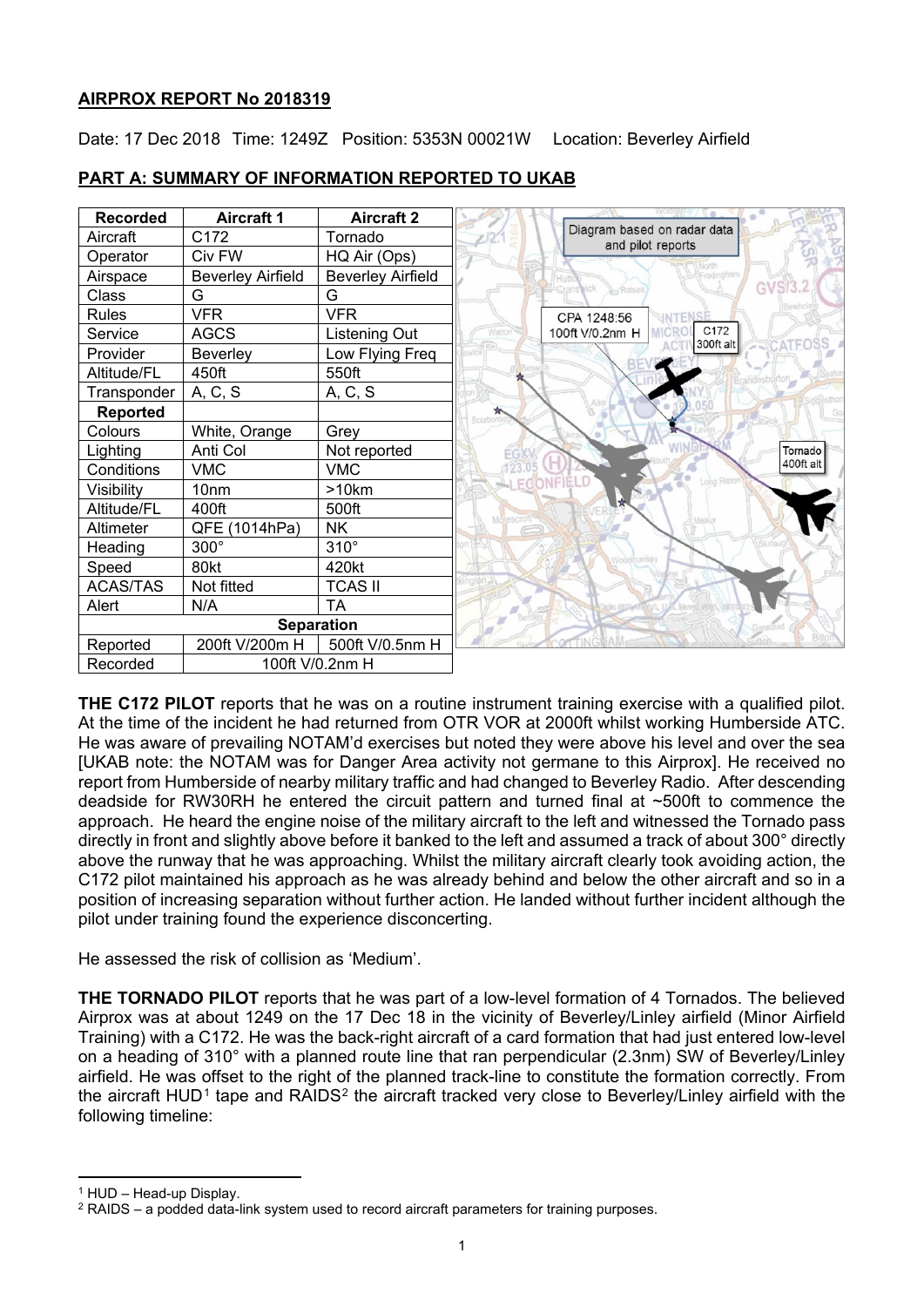### **AIRPROX REPORT No 2018319**

Date: 17 Dec 2018 Time: 1249Z Position: 5353N 00021W Location: Beverley Airfield



# **PART A: SUMMARY OF INFORMATION REPORTED TO UKAB**

**THE C172 PILOT** reports that he was on a routine instrument training exercise with a qualified pilot. At the time of the incident he had returned from OTR VOR at 2000ft whilst working Humberside ATC. He was aware of prevailing NOTAM'd exercises but noted they were above his level and over the sea [UKAB note: the NOTAM was for Danger Area activity not germane to this Airprox]. He received no report from Humberside of nearby military traffic and had changed to Beverley Radio. After descending deadside for RW30RH he entered the circuit pattern and turned final at ~500ft to commence the approach. He heard the engine noise of the military aircraft to the left and witnessed the Tornado pass directly in front and slightly above before it banked to the left and assumed a track of about 300° directly above the runway that he was approaching. Whilst the military aircraft clearly took avoiding action, the C172 pilot maintained his approach as he was already behind and below the other aircraft and so in a position of increasing separation without further action. He landed without further incident although the pilot under training found the experience disconcerting.

He assessed the risk of collision as 'Medium'.

**THE TORNADO PILOT** reports that he was part of a low-level formation of 4 Tornados. The believed Airprox was at about 1249 on the 17 Dec 18 in the vicinity of Beverley/Linley airfield (Minor Airfield Training) with a C172. He was the back-right aircraft of a card formation that had just entered low-level on a heading of 310° with a planned route line that ran perpendicular (2.3nm) SW of Beverley/Linley airfield. He was offset to the right of the planned track-line to constitute the formation correctly. From the aircraft HUD<sup>[1](#page-0-0)</sup> tape and RAIDS<sup>[2](#page-0-1)</sup> the aircraft tracked very close to Beverley/Linley airfield with the following timeline:

<span id="page-0-0"></span><sup>1</sup> HUD – Head-up Display.

 $\overline{a}$ 

<span id="page-0-1"></span><sup>2</sup> RAIDS – a podded data-link system used to record aircraft parameters for training purposes.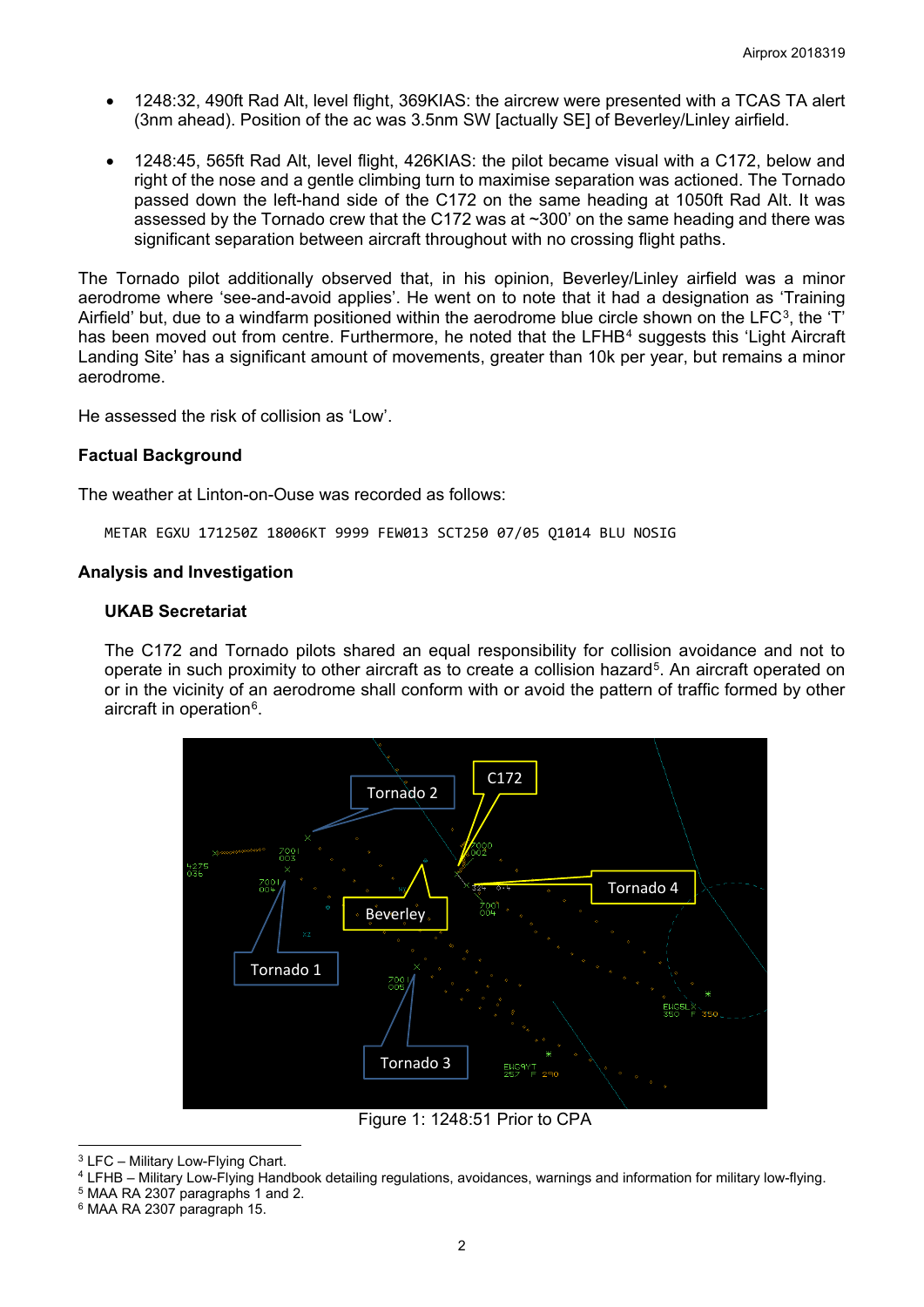- 1248:32, 490ft Rad Alt, level flight, 369KIAS: the aircrew were presented with a TCAS TA alert (3nm ahead). Position of the ac was 3.5nm SW [actually SE] of Beverley/Linley airfield.
- 1248:45, 565ft Rad Alt, level flight, 426KIAS: the pilot became visual with a C172, below and right of the nose and a gentle climbing turn to maximise separation was actioned. The Tornado passed down the left-hand side of the C172 on the same heading at 1050ft Rad Alt. It was assessed by the Tornado crew that the C172 was at ~300' on the same heading and there was significant separation between aircraft throughout with no crossing flight paths.

The Tornado pilot additionally observed that, in his opinion, Beverley/Linley airfield was a minor aerodrome where 'see-and-avoid applies'. He went on to note that it had a designation as 'Training Airfield' but, due to a windfarm positioned within the aerodrome blue circle shown on the  $LFC<sup>3</sup>$ , the 'T' has been moved out from centre. Furthermore, he noted that the LFHB<sup>[4](#page-1-1)</sup> suggests this 'Light Aircraft Landing Site' has a significant amount of movements, greater than 10k per year, but remains a minor aerodrome.

He assessed the risk of collision as 'Low'.

#### **Factual Background**

The weather at Linton-on-Ouse was recorded as follows:

METAR EGXU 171250Z 18006KT 9999 FEW013 SCT250 07/05 Q1014 BLU NOSIG

#### **Analysis and Investigation**

#### **UKAB Secretariat**

The C172 and Tornado pilots shared an equal responsibility for collision avoidance and not to operate in such proximity to other aircraft as to create a collision hazard<sup>[5](#page-1-2)</sup>. An aircraft operated on or in the vicinity of an aerodrome shall conform with or avoid the pattern of traffic formed by other aircraft in operation<sup>[6](#page-1-3)</sup>.



Figure 1: 1248:51 Prior to CPA

<span id="page-1-0"></span> $\overline{a}$ <sup>3</sup> LFC – Military Low-Flying Chart.

<span id="page-1-1"></span><sup>4</sup> LFHB – Military Low-Flying Handbook detailing regulations, avoidances, warnings and information for military low-flying.

<span id="page-1-2"></span><sup>5</sup> MAA RA 2307 paragraphs 1 and 2.

<span id="page-1-3"></span><sup>6</sup> MAA RA 2307 paragraph 15.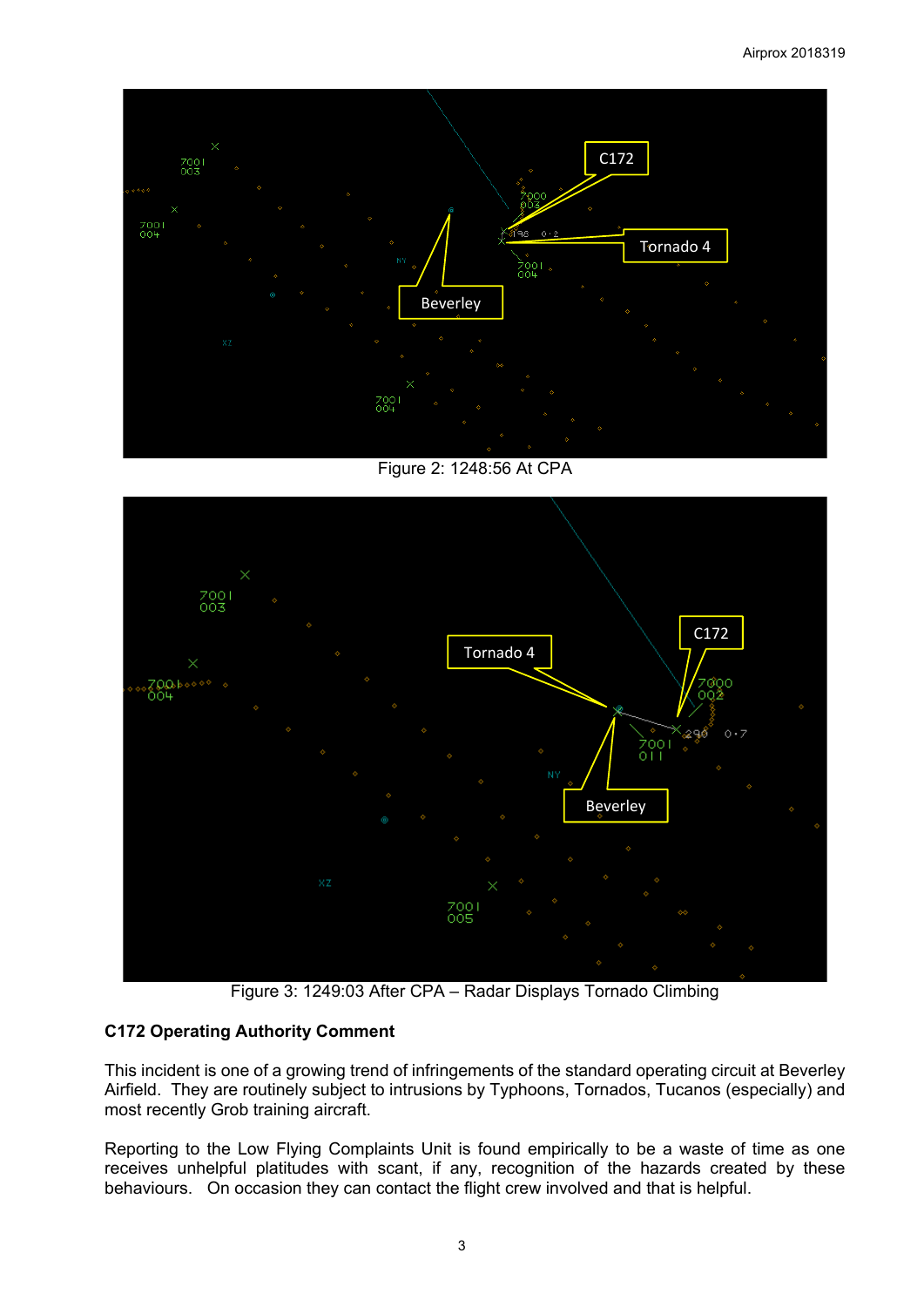

Figure 2: 1248:56 At CPA



Figure 3: 1249:03 After CPA – Radar Displays Tornado Climbing

# **C172 Operating Authority Comment**

This incident is one of a growing trend of infringements of the standard operating circuit at Beverley Airfield. They are routinely subject to intrusions by Typhoons, Tornados, Tucanos (especially) and most recently Grob training aircraft.

Reporting to the Low Flying Complaints Unit is found empirically to be a waste of time as one receives unhelpful platitudes with scant, if any, recognition of the hazards created by these behaviours. On occasion they can contact the flight crew involved and that is helpful.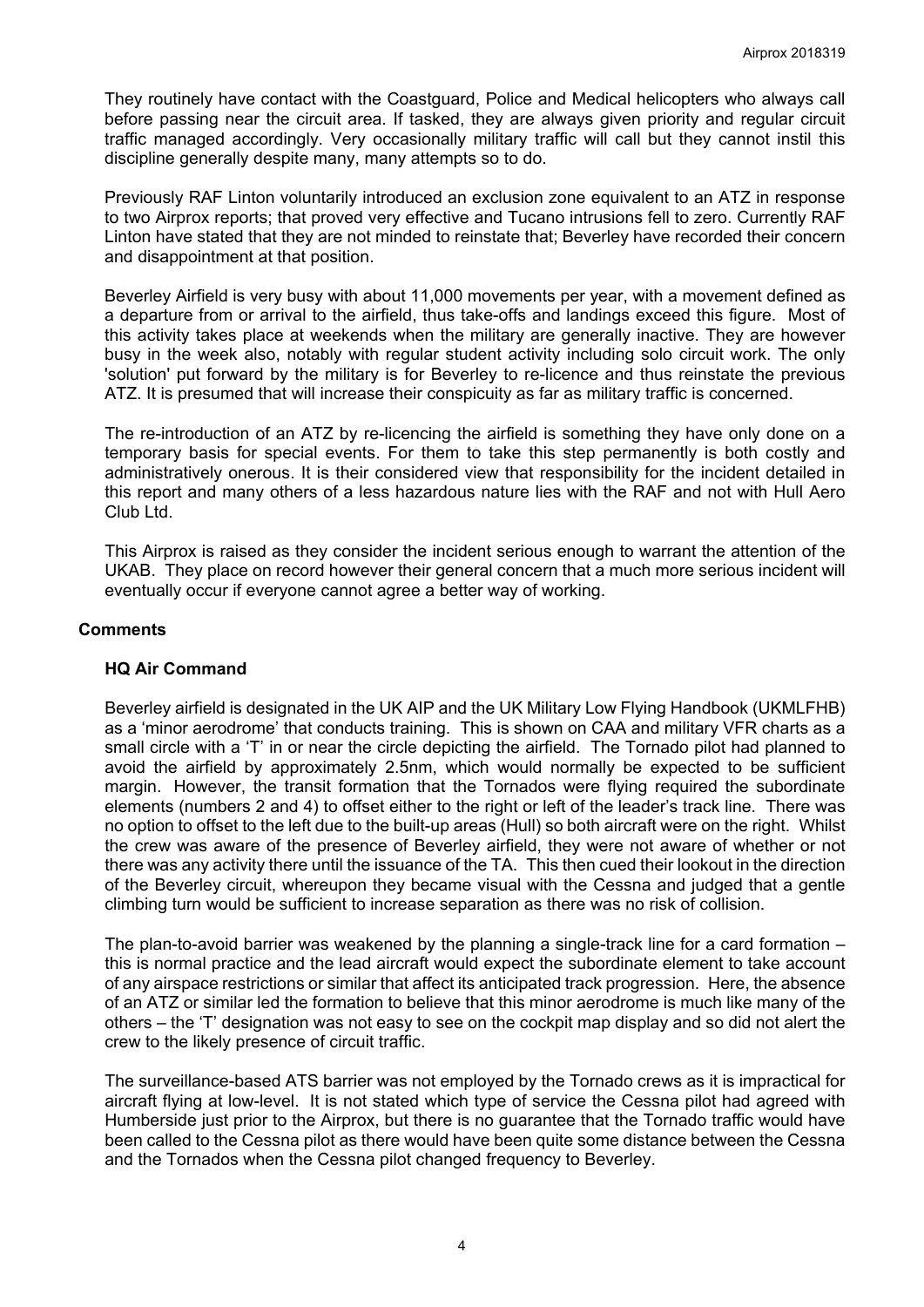They routinely have contact with the Coastguard, Police and Medical helicopters who always call before passing near the circuit area. If tasked, they are always given priority and regular circuit traffic managed accordingly. Very occasionally military traffic will call but they cannot instil this discipline generally despite many, many attempts so to do.

Previously RAF Linton voluntarily introduced an exclusion zone equivalent to an ATZ in response to two Airprox reports; that proved very effective and Tucano intrusions fell to zero. Currently RAF Linton have stated that they are not minded to reinstate that; Beverley have recorded their concern and disappointment at that position.

Beverley Airfield is very busy with about 11,000 movements per year, with a movement defined as a departure from or arrival to the airfield, thus take-offs and landings exceed this figure. Most of this activity takes place at weekends when the military are generally inactive. They are however busy in the week also, notably with regular student activity including solo circuit work. The only 'solution' put forward by the military is for Beverley to re-licence and thus reinstate the previous ATZ. It is presumed that will increase their conspicuity as far as military traffic is concerned.

The re-introduction of an ATZ by re-licencing the airfield is something they have only done on a temporary basis for special events. For them to take this step permanently is both costly and administratively onerous. It is their considered view that responsibility for the incident detailed in this report and many others of a less hazardous nature lies with the RAF and not with Hull Aero Club Ltd.

This Airprox is raised as they consider the incident serious enough to warrant the attention of the UKAB. They place on record however their general concern that a much more serious incident will eventually occur if everyone cannot agree a better way of working.

#### **Comments**

#### **HQ Air Command**

Beverley airfield is designated in the UK AIP and the UK Military Low Flying Handbook (UKMLFHB) as a 'minor aerodrome' that conducts training. This is shown on CAA and military VFR charts as a small circle with a 'T' in or near the circle depicting the airfield. The Tornado pilot had planned to avoid the airfield by approximately 2.5nm, which would normally be expected to be sufficient margin. However, the transit formation that the Tornados were flying required the subordinate elements (numbers 2 and 4) to offset either to the right or left of the leader's track line. There was no option to offset to the left due to the built-up areas (Hull) so both aircraft were on the right. Whilst the crew was aware of the presence of Beverley airfield, they were not aware of whether or not there was any activity there until the issuance of the TA. This then cued their lookout in the direction of the Beverley circuit, whereupon they became visual with the Cessna and judged that a gentle climbing turn would be sufficient to increase separation as there was no risk of collision.

The plan-to-avoid barrier was weakened by the planning a single-track line for a card formation – this is normal practice and the lead aircraft would expect the subordinate element to take account of any airspace restrictions or similar that affect its anticipated track progression. Here, the absence of an ATZ or similar led the formation to believe that this minor aerodrome is much like many of the others – the 'T' designation was not easy to see on the cockpit map display and so did not alert the crew to the likely presence of circuit traffic.

The surveillance-based ATS barrier was not employed by the Tornado crews as it is impractical for aircraft flying at low-level. It is not stated which type of service the Cessna pilot had agreed with Humberside just prior to the Airprox, but there is no guarantee that the Tornado traffic would have been called to the Cessna pilot as there would have been quite some distance between the Cessna and the Tornados when the Cessna pilot changed frequency to Beverley.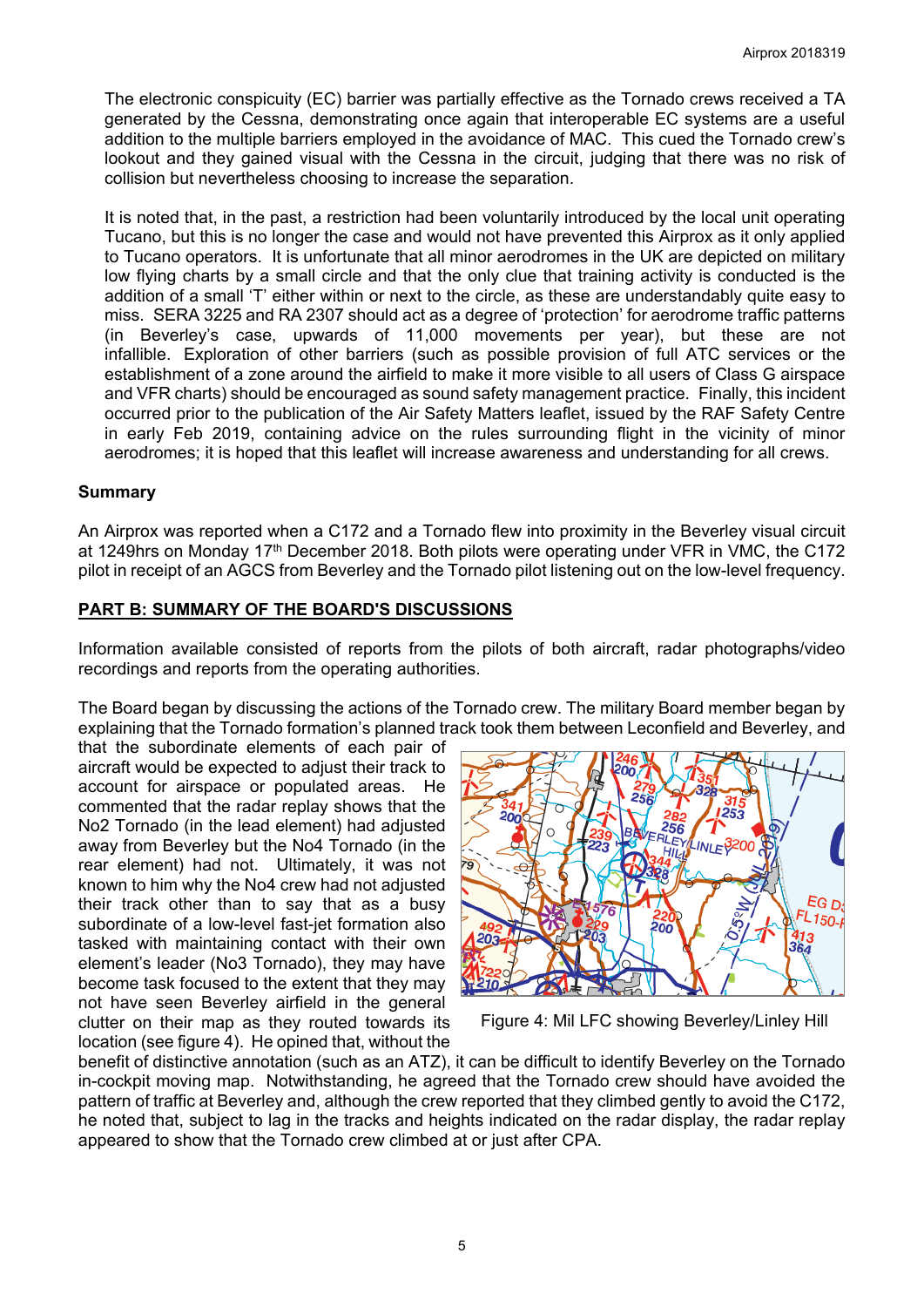The electronic conspicuity (EC) barrier was partially effective as the Tornado crews received a TA generated by the Cessna, demonstrating once again that interoperable EC systems are a useful addition to the multiple barriers employed in the avoidance of MAC. This cued the Tornado crew's lookout and they gained visual with the Cessna in the circuit, judging that there was no risk of collision but nevertheless choosing to increase the separation.

It is noted that, in the past, a restriction had been voluntarily introduced by the local unit operating Tucano, but this is no longer the case and would not have prevented this Airprox as it only applied to Tucano operators. It is unfortunate that all minor aerodromes in the UK are depicted on military low flying charts by a small circle and that the only clue that training activity is conducted is the addition of a small 'T' either within or next to the circle, as these are understandably quite easy to miss. SERA 3225 and RA 2307 should act as a degree of 'protection' for aerodrome traffic patterns (in Beverley's case, upwards of 11,000 movements per year), but these are not infallible. Exploration of other barriers (such as possible provision of full ATC services or the establishment of a zone around the airfield to make it more visible to all users of Class G airspace and VFR charts) should be encouraged as sound safety management practice. Finally, this incident occurred prior to the publication of the Air Safety Matters leaflet, issued by the RAF Safety Centre in early Feb 2019, containing advice on the rules surrounding flight in the vicinity of minor aerodromes; it is hoped that this leaflet will increase awareness and understanding for all crews.

#### **Summary**

An Airprox was reported when a C172 and a Tornado flew into proximity in the Beverley visual circuit at 1249hrs on Monday 17<sup>th</sup> December 2018. Both pilots were operating under VFR in VMC, the C172 pilot in receipt of an AGCS from Beverley and the Tornado pilot listening out on the low-level frequency.

### **PART B: SUMMARY OF THE BOARD'S DISCUSSIONS**

Information available consisted of reports from the pilots of both aircraft, radar photographs/video recordings and reports from the operating authorities.

The Board began by discussing the actions of the Tornado crew. The military Board member began by explaining that the Tornado formation's planned track took them between Leconfield and Beverley, and

that the subordinate elements of each pair of aircraft would be expected to adjust their track to account for airspace or populated areas. He commented that the radar replay shows that the No2 Tornado (in the lead element) had adjusted away from Beverley but the No4 Tornado (in the rear element) had not. Ultimately, it was not known to him why the No4 crew had not adjusted their track other than to say that as a busy subordinate of a low-level fast-jet formation also tasked with maintaining contact with their own element's leader (No3 Tornado), they may have become task focused to the extent that they may not have seen Beverley airfield in the general clutter on their map as they routed towards its location (see figure 4). He opined that, without the



Figure 4: Mil LFC showing Beverley/Linley Hill

benefit of distinctive annotation (such as an ATZ), it can be difficult to identify Beverley on the Tornado in-cockpit moving map. Notwithstanding, he agreed that the Tornado crew should have avoided the pattern of traffic at Beverley and, although the crew reported that they climbed gently to avoid the C172, he noted that, subject to lag in the tracks and heights indicated on the radar display, the radar replay appeared to show that the Tornado crew climbed at or just after CPA.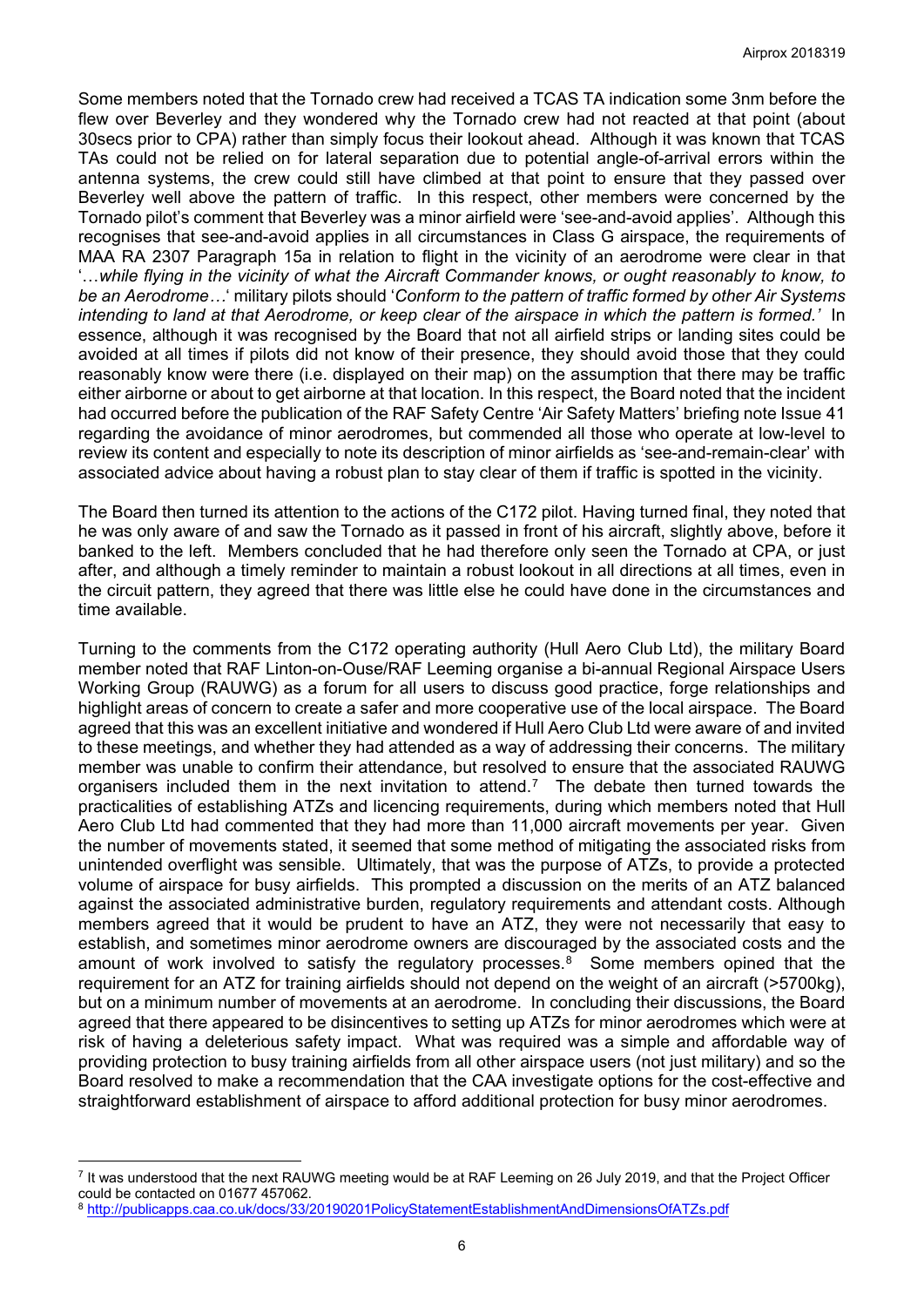Some members noted that the Tornado crew had received a TCAS TA indication some 3nm before the flew over Beverley and they wondered why the Tornado crew had not reacted at that point (about 30secs prior to CPA) rather than simply focus their lookout ahead. Although it was known that TCAS TAs could not be relied on for lateral separation due to potential angle-of-arrival errors within the antenna systems, the crew could still have climbed at that point to ensure that they passed over Beverley well above the pattern of traffic. In this respect, other members were concerned by the Tornado pilot's comment that Beverley was a minor airfield were 'see-and-avoid applies'. Although this recognises that see-and-avoid applies in all circumstances in Class G airspace, the requirements of MAA RA 2307 Paragraph 15a in relation to flight in the vicinity of an aerodrome were clear in that '…*while flying in the vicinity of what the Aircraft Commander knows, or ought reasonably to know, to be an Aerodrome…*' military pilots should '*Conform to the pattern of traffic formed by other Air Systems intending to land at that Aerodrome, or keep clear of the airspace in which the pattern is formed.'* In essence, although it was recognised by the Board that not all airfield strips or landing sites could be avoided at all times if pilots did not know of their presence, they should avoid those that they could reasonably know were there (i.e. displayed on their map) on the assumption that there may be traffic either airborne or about to get airborne at that location. In this respect, the Board noted that the incident had occurred before the publication of the RAF Safety Centre 'Air Safety Matters' briefing note Issue 41 regarding the avoidance of minor aerodromes, but commended all those who operate at low-level to review its content and especially to note its description of minor airfields as 'see-and-remain-clear' with associated advice about having a robust plan to stay clear of them if traffic is spotted in the vicinity.

The Board then turned its attention to the actions of the C172 pilot. Having turned final, they noted that he was only aware of and saw the Tornado as it passed in front of his aircraft, slightly above, before it banked to the left. Members concluded that he had therefore only seen the Tornado at CPA, or just after, and although a timely reminder to maintain a robust lookout in all directions at all times, even in the circuit pattern, they agreed that there was little else he could have done in the circumstances and time available.

Turning to the comments from the C172 operating authority (Hull Aero Club Ltd), the military Board member noted that RAF Linton-on-Ouse/RAF Leeming organise a bi-annual Regional Airspace Users Working Group (RAUWG) as a forum for all users to discuss good practice, forge relationships and highlight areas of concern to create a safer and more cooperative use of the local airspace. The Board agreed that this was an excellent initiative and wondered if Hull Aero Club Ltd were aware of and invited to these meetings, and whether they had attended as a way of addressing their concerns. The military member was unable to confirm their attendance, but resolved to ensure that the associated RAUWG organisers included them in the next invitation to attend.[7](#page-5-0) The debate then turned towards the practicalities of establishing ATZs and licencing requirements, during which members noted that Hull Aero Club Ltd had commented that they had more than 11,000 aircraft movements per year. Given the number of movements stated, it seemed that some method of mitigating the associated risks from unintended overflight was sensible. Ultimately, that was the purpose of ATZs, to provide a protected volume of airspace for busy airfields. This prompted a discussion on the merits of an ATZ balanced against the associated administrative burden, regulatory requirements and attendant costs. Although members agreed that it would be prudent to have an ATZ, they were not necessarily that easy to establish, and sometimes minor aerodrome owners are discouraged by the associated costs and the amount of work involved to satisfy the regulatory processes. [8](#page-5-1) Some members opined that the requirement for an ATZ for training airfields should not depend on the weight of an aircraft (>5700kg), but on a minimum number of movements at an aerodrome. In concluding their discussions, the Board agreed that there appeared to be disincentives to setting up ATZs for minor aerodromes which were at risk of having a deleterious safety impact. What was required was a simple and affordable way of providing protection to busy training airfields from all other airspace users (not just military) and so the Board resolved to make a recommendation that the CAA investigate options for the cost-effective and straightforward establishment of airspace to afford additional protection for busy minor aerodromes.

 $\overline{a}$ 

<span id="page-5-0"></span><sup>7</sup> It was understood that the next RAUWG meeting would be at RAF Leeming on 26 July 2019, and that the Project Officer could be contacted on 01677 457062.

<span id="page-5-1"></span><sup>8</sup> <http://publicapps.caa.co.uk/docs/33/20190201PolicyStatementEstablishmentAndDimensionsOfATZs.pdf>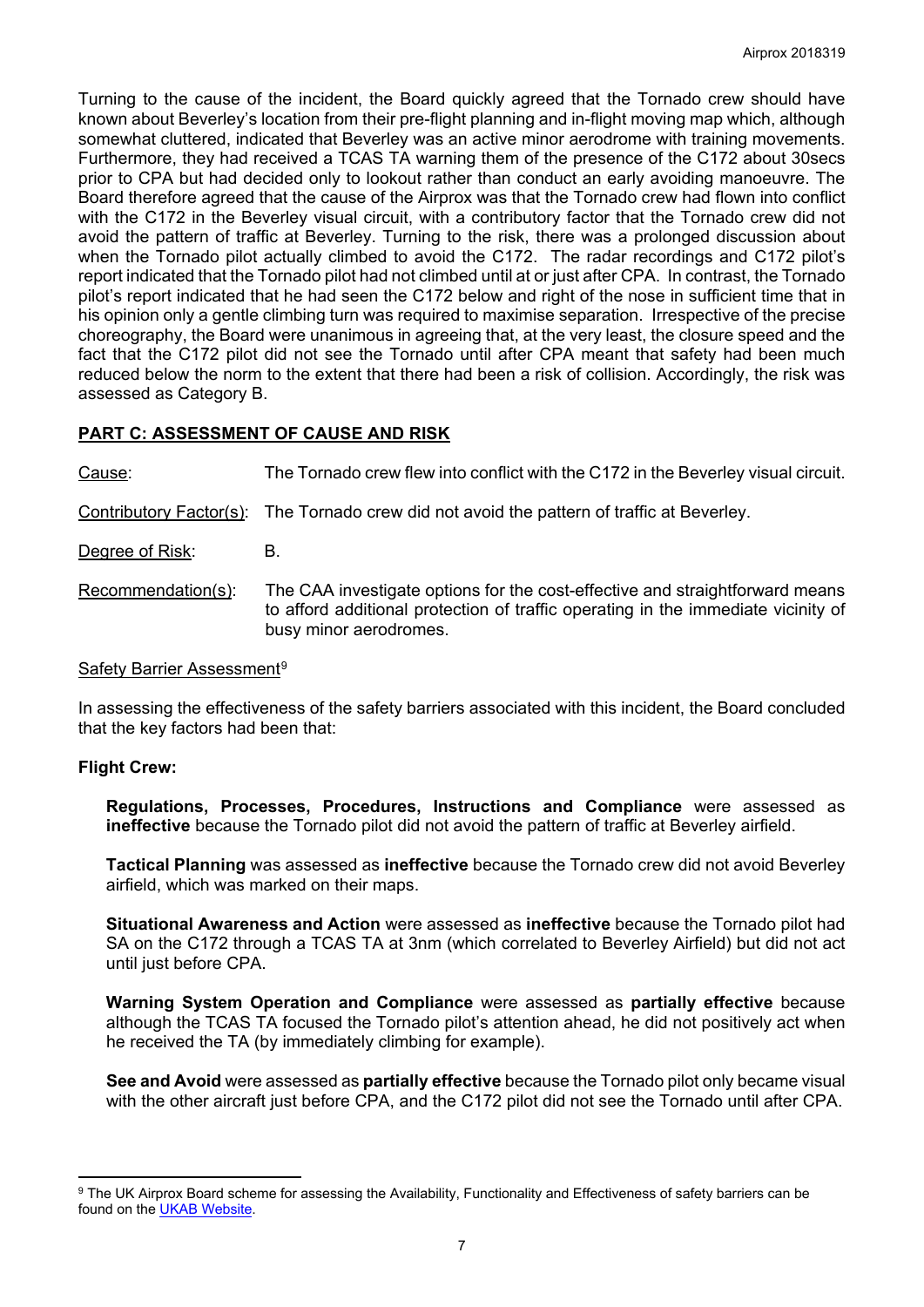Turning to the cause of the incident, the Board quickly agreed that the Tornado crew should have known about Beverley's location from their pre-flight planning and in-flight moving map which, although somewhat cluttered, indicated that Beverley was an active minor aerodrome with training movements. Furthermore, they had received a TCAS TA warning them of the presence of the C172 about 30secs prior to CPA but had decided only to lookout rather than conduct an early avoiding manoeuvre. The Board therefore agreed that the cause of the Airprox was that the Tornado crew had flown into conflict with the C172 in the Beverley visual circuit, with a contributory factor that the Tornado crew did not avoid the pattern of traffic at Beverley. Turning to the risk, there was a prolonged discussion about when the Tornado pilot actually climbed to avoid the C172. The radar recordings and C172 pilot's report indicated that the Tornado pilot had not climbed until at or just after CPA. In contrast, the Tornado pilot's report indicated that he had seen the C172 below and right of the nose in sufficient time that in his opinion only a gentle climbing turn was required to maximise separation. Irrespective of the precise choreography, the Board were unanimous in agreeing that, at the very least, the closure speed and the fact that the C172 pilot did not see the Tornado until after CPA meant that safety had been much reduced below the norm to the extent that there had been a risk of collision. Accordingly, the risk was assessed as Category B.

# **PART C: ASSESSMENT OF CAUSE AND RISK**

Cause: The Tornado crew flew into conflict with the C172 in the Beverley visual circuit.

Contributory Factor(s): The Tornado crew did not avoid the pattern of traffic at Beverley.

Degree of Risk: B.

Recommendation(s): The CAA investigate options for the cost-effective and straightforward means to afford additional protection of traffic operating in the immediate vicinity of busy minor aerodromes.

#### Safety Barrier Assessment<sup>[9](#page-6-0)</sup>

In assessing the effectiveness of the safety barriers associated with this incident, the Board concluded that the key factors had been that:

### **Flight Crew:**

 $\overline{a}$ 

**Regulations, Processes, Procedures, Instructions and Compliance** were assessed as **ineffective** because the Tornado pilot did not avoid the pattern of traffic at Beverley airfield.

**Tactical Planning** was assessed as **ineffective** because the Tornado crew did not avoid Beverley airfield, which was marked on their maps.

**Situational Awareness and Action** were assessed as **ineffective** because the Tornado pilot had SA on the C172 through a TCAS TA at 3nm (which correlated to Beverley Airfield) but did not act until just before CPA.

**Warning System Operation and Compliance** were assessed as **partially effective** because although the TCAS TA focused the Tornado pilot's attention ahead, he did not positively act when he received the TA (by immediately climbing for example).

**See and Avoid** were assessed as **partially effective** because the Tornado pilot only became visual with the other aircraft just before CPA, and the C172 pilot did not see the Tornado until after CPA.

<span id="page-6-0"></span><sup>&</sup>lt;sup>9</sup> The UK Airprox Board scheme for assessing the Availability, Functionality and Effectiveness of safety barriers can be found on the [UKAB Website.](http://www.airproxboard.org.uk/Learn-more/Airprox-Barrier-Assessment/)